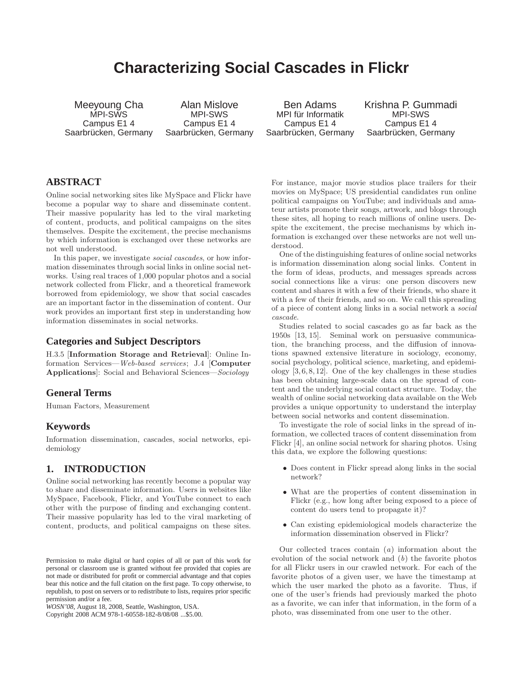# **Characterizing Social Cascades in Flickr**

Meeyoung Cha MPI-SWS Campus E1 4 Saarbrücken, Germany

Alan Mislove MPI-SWS Campus E1 4 Saarbrücken, Germany

Ben Adams MPI für Informatik Campus E1 4 Saarbrücken, Germany Krishna P. Gummadi MPI-SWS Campus E1 4 Saarbrücken, Germany

## **ABSTRACT**

Online social networking sites like MySpace and Flickr have become a popular way to share and disseminate content. Their massive popularity has led to the viral marketing of content, products, and political campaigns on the sites themselves. Despite the excitement, the precise mechanisms by which information is exchanged over these networks are not well understood.

In this paper, we investigate social cascades, or how information disseminates through social links in online social networks. Using real traces of 1,000 popular photos and a social network collected from Flickr, and a theoretical framework borrowed from epidemiology, we show that social cascades are an important factor in the dissemination of content. Our work provides an important first step in understanding how information disseminates in social networks.

#### **Categories and Subject Descriptors**

H.3.5 [Information Storage and Retrieval]: Online Information Services—Web-based services; J.4 [Computer Applications]: Social and Behavioral Sciences—Sociology

## **General Terms**

Human Factors, Measurement

#### **Keywords**

Information dissemination, cascades, social networks, epidemiology

#### **1. INTRODUCTION**

Online social networking has recently become a popular way to share and disseminate information. Users in websites like MySpace, Facebook, Flickr, and YouTube connect to each other with the purpose of finding and exchanging content. Their massive popularity has led to the viral marketing of content, products, and political campaigns on these sites.

Copyright 2008 ACM 978-1-60558-182-8/08/08 ...\$5.00.

For instance, major movie studios place trailers for their movies on MySpace; US presidential candidates run online political campaigns on YouTube; and individuals and amateur artists promote their songs, artwork, and blogs through these sites, all hoping to reach millions of online users. Despite the excitement, the precise mechanisms by which information is exchanged over these networks are not well understood.

One of the distinguishing features of online social networks is information dissemination along social links. Content in the form of ideas, products, and messages spreads across social connections like a virus: one person discovers new content and shares it with a few of their friends, who share it with a few of their friends, and so on. We call this spreading of a piece of content along links in a social network a social cascade.

Studies related to social cascades go as far back as the 1950s [13, 15]. Seminal work on persuasive communication, the branching process, and the diffusion of innovations spawned extensive literature in sociology, economy, social psychology, political science, marketing, and epidemiology [3, 6, 8, 12]. One of the key challenges in these studies has been obtaining large-scale data on the spread of content and the underlying social contact structure. Today, the wealth of online social networking data available on the Web provides a unique opportunity to understand the interplay between social networks and content dissemination.

To investigate the role of social links in the spread of information, we collected traces of content dissemination from Flickr [4], an online social network for sharing photos. Using this data, we explore the following questions:

- Does content in Flickr spread along links in the social network?
- What are the properties of content dissemination in Flickr (e.g., how long after being exposed to a piece of content do users tend to propagate it)?
- Can existing epidemiological models characterize the information dissemination observed in Flickr?

Our collected traces contain (a) information about the evolution of the social network and  $(b)$  the favorite photos for all Flickr users in our crawled network. For each of the favorite photos of a given user, we have the timestamp at which the user marked the photo as a favorite. Thus, if one of the user's friends had previously marked the photo as a favorite, we can infer that information, in the form of a photo, was disseminated from one user to the other.

Permission to make digital or hard copies of all or part of this work for personal or classroom use is granted without fee provided that copies are not made or distributed for profit or commercial advantage and that copies bear this notice and the full citation on the first page. To copy otherwise, to republish, to post on servers or to redistribute to lists, requires prior specific permission and/or a fee.

*WOSN'08,* August 18, 2008, Seattle, Washington, USA.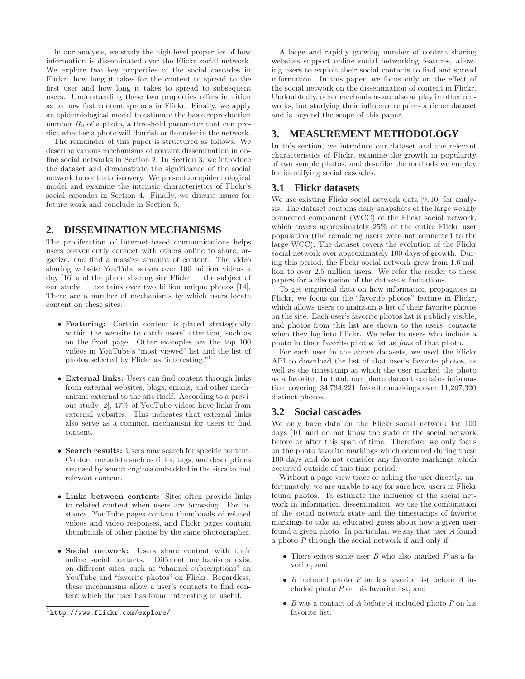In our analysis, we study the high-level properties of how information is disseminated over the Flickr social network. We explore two key properties of the social cascades in Flickr: how long it takes for the content to spread to the first user and how long it takes to spread to subsequent users. Understanding these two properties offers intuition as to how fast content spreads in Flickr. Finally, we apply an epidemiological model to estimate the basic reproduction number  $R_0$  of a photo, a threshold parameter that can predict whether a photo will flourish or flounder in the network.

The remainder of this paper is structured as follows. We describe various mechanisms of content dissemination in online social networks in Section 2. In Section 3, we introduce the dataset and demonstrate the significance of the social network to content discovery. We present an epidemiological model and examine the intrinsic characteristics of Flickr's social cascades in Section 4. Finally, we discuss issues for future work and conclude in Section 5.

#### **2. DISSEMINATION MECHANISMS**

The proliferation of Internet-based communications helps users conveniently connect with others online to share, organize, and find a massive amount of content. The video sharing website YouTube serves over 100 million videos a day [16] and the photo sharing site Flickr — the subject of our study — contains over two billion unique photos  $[14]$ . There are a number of mechanisms by which users locate content on these sites:

- Featuring: Certain content is placed strategically within the website to catch users' attention, such as on the front page. Other examples are the top 100 videos in YouTube's "most viewed" list and the list of photos selected by Flickr as "interesting."<sup>1</sup>
- External links: Users can find content through links from external websites, blogs, emails, and other mechanisms external to the site itself. According to a previous study [2], 47% of YouTube videos have links from external websites. This indicates that external links also serve as a common mechanism for users to find content.
- Search results: Users may search for specific content. Content metadata such as titles, tags, and descriptions are used by search engines embedded in the sites to find relevant content.
- Links between content: Sites often provide links to related content when users are browsing. For instance, YouTube pages contain thumbnails of related videos and video responses, and Flickr pages contain thumbnails of other photos by the same photographer.
- Social network: Users share content with their online social contacts. Different mechanisms exist on different sites, such as "channel subscriptions" on YouTube and "favorite photos" on Flickr. Regardless, these mechanisms allow a user's contacts to find content which the user has found interesting or useful.

A large and rapidly growing number of content sharing websites support online social networking features, allowing users to exploit their social contacts to find and spread information. In this paper, we focus only on the effect of the social network on the dissemination of content in Flickr. Undoubtedly, other mechanisms are also at play in other networks, but studying their influence requires a richer dataset and is beyond the scope of this paper.

#### **3. MEASUREMENT METHODOLOGY**

In this section, we introduce our dataset and the relevant characteristics of Flickr, examine the growth in popularity of two sample photos, and describe the methods we employ for identifying social cascades.

#### **3.1 Flickr datasets**

We use existing Flickr social network data [9, 10] for analysis. The dataset contains daily snapshots of the large weakly connected component (WCC) of the Flickr social network, which covers approximately 25% of the entire Flickr user population (the remaining users were not connected to the large WCC). The dataset covers the evolution of the Flickr social network over approximately 100 days of growth. During this period, the Flickr social network grew from 1.6 million to over 2.5 million users. We refer the reader to these papers for a discussion of the dataset's limitations.

To get empirical data on how information propagates in Flickr, we focus on the "favorite photos" feature in Flickr, which allows users to maintain a list of their favorite photos on the site. Each user's favorite photos list is publicly visible, and photos from this list are shown to the users' contacts when they log into Flickr. We refer to users who include a photo in their favorite photos list as fans of that photo.

For each user in the above datasets, we used the Flickr API to download the list of that user's favorite photos, as well as the timestamp at which the user marked the photo as a favorite. In total, our photo dataset contains information covering 34,734,221 favorite markings over 11,267,320 distinct photos.

#### **3.2 Social cascades**

We only have data on the Flickr social network for 100 days [10] and do not know the state of the social network before or after this span of time. Therefore, we only focus on the photo favorite markings which occurred during these 100 days and do not consider any favorite markings which occurred outside of this time period.

Without a page view trace or asking the user directly, unfortunately, we are unable to say for sure how users in Flickr found photos. To estimate the influence of the social network in information dissemination, we use the combination of the social network state and the timestamps of favorite markings to take an educated guess about how a given user found a given photo. In particular, we say that user A found a photo P through the social network if and only if

- There exists some user  $B$  who also marked  $P$  as a favorite, and
- $B$  included photo  $P$  on his favorite list before  $A$  included photo P on his favorite list, and
- $B$  was a contact of  $A$  before  $A$  included photo  $P$  on his favorite list.

<sup>1</sup> http://www.flickr.com/explore/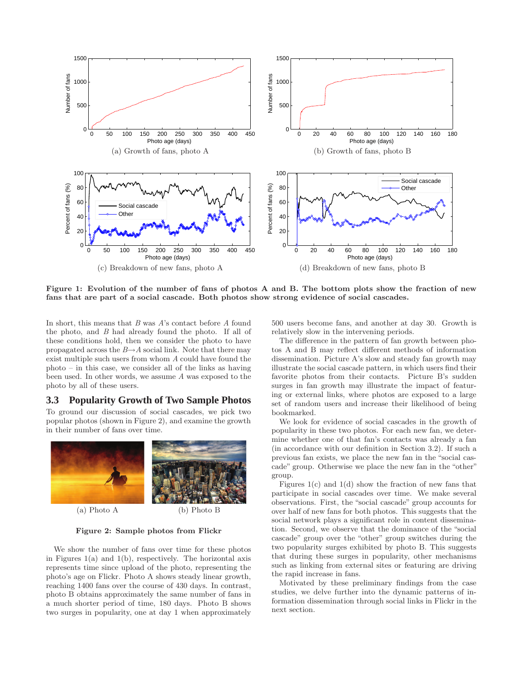

Figure 1: Evolution of the number of fans of photos A and B. The bottom plots show the fraction of new fans that are part of a social cascade. Both photos show strong evidence of social cascades.

In short, this means that  $B$  was  $A$ 's contact before  $A$  found the photo, and B had already found the photo. If all of these conditions hold, then we consider the photo to have propagated across the  $B\rightarrow A$  social link. Note that there may exist multiple such users from whom A could have found the photo – in this case, we consider all of the links as having been used. In other words, we assume A was exposed to the photo by all of these users.

### **3.3 Popularity Growth of Two Sample Photos**

To ground our discussion of social cascades, we pick two popular photos (shown in Figure 2), and examine the growth in their number of fans over time.



(a) Photo A (b) Photo B

#### Figure 2: Sample photos from Flickr

We show the number of fans over time for these photos in Figures  $1(a)$  and  $1(b)$ , respectively. The horizontal axis represents time since upload of the photo, representing the photo's age on Flickr. Photo A shows steady linear growth, reaching 1400 fans over the course of 430 days. In contrast, photo B obtains approximately the same number of fans in a much shorter period of time, 180 days. Photo B shows two surges in popularity, one at day 1 when approximately

500 users become fans, and another at day 30. Growth is relatively slow in the intervening periods.

The difference in the pattern of fan growth between photos A and B may reflect different methods of information dissemination. Picture A's slow and steady fan growth may illustrate the social cascade pattern, in which users find their favorite photos from their contacts. Picture B's sudden surges in fan growth may illustrate the impact of featuring or external links, where photos are exposed to a large set of random users and increase their likelihood of being bookmarked.

We look for evidence of social cascades in the growth of popularity in these two photos. For each new fan, we determine whether one of that fan's contacts was already a fan (in accordance with our definition in Section 3.2). If such a previous fan exists, we place the new fan in the "social cascade" group. Otherwise we place the new fan in the "other" group.

Figures  $1(c)$  and  $1(d)$  show the fraction of new fans that participate in social cascades over time. We make several observations. First, the "social cascade" group accounts for over half of new fans for both photos. This suggests that the social network plays a significant role in content dissemination. Second, we observe that the dominance of the "social cascade" group over the "other" group switches during the two popularity surges exhibited by photo B. This suggests that during these surges in popularity, other mechanisms such as linking from external sites or featuring are driving the rapid increase in fans.

Motivated by these preliminary findings from the case studies, we delve further into the dynamic patterns of information dissemination through social links in Flickr in the next section.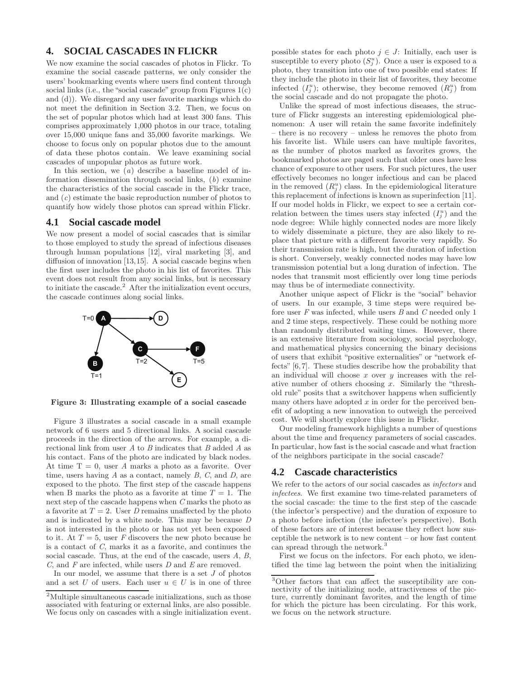### **4. SOCIAL CASCADES IN FLICKR**

We now examine the social cascades of photos in Flickr. To examine the social cascade patterns, we only consider the users' bookmarking events where users find content through social links (i.e., the "social cascade" group from Figures  $1(c)$ and (d)). We disregard any user favorite markings which do not meet the definition in Section 3.2. Then, we focus on the set of popular photos which had at least 300 fans. This comprises approximately 1,000 photos in our trace, totaling over 15,000 unique fans and 35,000 favorite markings. We choose to focus only on popular photos due to the amount of data these photos contain. We leave examining social cascades of unpopular photos as future work.

In this section, we  $(a)$  describe a baseline model of information dissemination through social links, (b) examine the characteristics of the social cascade in the Flickr trace, and (c) estimate the basic reproduction number of photos to quantify how widely those photos can spread within Flickr.

#### **4.1 Social cascade model**

We now present a model of social cascades that is similar to those employed to study the spread of infectious diseases through human populations [12], viral marketing [3], and diffusion of innovation [13,15]. A social cascade begins when the first user includes the photo in his list of favorites. This event does not result from any social links, but is necessary to initiate the cascade.<sup>2</sup> After the initialization event occurs, the cascade continues along social links.



Figure 3: Illustrating example of a social cascade

Figure 3 illustrates a social cascade in a small example network of 6 users and 5 directional links. A social cascade proceeds in the direction of the arrows. For example, a directional link from user A to B indicates that B added A as his contact. Fans of the photo are indicated by black nodes. At time  $T = 0$ , user A marks a photo as a favorite. Over time, users having  $A$  as a contact, namely  $B$ ,  $C$ , and  $D$ , are exposed to the photo. The first step of the cascade happens when B marks the photo as a favorite at time  $T = 1$ . The next step of the cascade happens when C marks the photo as a favorite at  $T = 2$ . User D remains unaffected by the photo and is indicated by a white node. This may be because D is not interested in the photo or has not yet been exposed to it. At  $T = 5$ , user F discovers the new photo because he is a contact of C, marks it as a favorite, and continues the social cascade. Thus, at the end of the cascade, users A, B,  $C$ , and  $F$  are infected, while users  $D$  and  $E$  are removed.

In our model, we assume that there is a set  $J$  of photos and a set U of users. Each user  $u \in U$  is in one of three possible states for each photo  $j \in J$ : Initially, each user is susceptible to every photo  $(S_j^u)$ . Once a user is exposed to a photo, they transition into one of two possible end states: If they include the photo in their list of favorites, they become infected  $(I_j^u)$ ; otherwise, they become removed  $(R_j^u)$  from the social cascade and do not propagate the photo.

Unlike the spread of most infectious diseases, the structure of Flickr suggests an interesting epidemiological phenomenon: A user will retain the same favorite indefinitely – there is no recovery – unless he removes the photo from his favorite list. While users can have multiple favorites, as the number of photos marked as favorites grows, the bookmarked photos are paged such that older ones have less chance of exposure to other users. For such pictures, the user effectively becomes no longer infectious and can be placed in the removed  $(R_j^u)$  class. In the epidemiological literature this replacement of infections is known as superinfection [11]. If our model holds in Flickr, we expect to see a certain correlation between the times users stay infected  $(I_j^u)$  and the node degree: While highly connected nodes are more likely to widely disseminate a picture, they are also likely to replace that picture with a different favorite very rapidly. So their transmission rate is high, but the duration of infection is short. Conversely, weakly connected nodes may have low transmission potential but a long duration of infection. The nodes that transmit most efficiently over long time periods may thus be of intermediate connectivity.

Another unique aspect of Flickr is the "social" behavior of users. In our example, 3 time steps were required before user  $F$  was infected, while users  $B$  and  $C$  needed only 1 and 2 time steps, respectively. These could be nothing more than randomly distributed waiting times. However, there is an extensive literature from sociology, social psychology, and mathematical physics concerning the binary decisions of users that exhibit "positive externalities" or "network effects" [6,7]. These studies describe how the probability that an individual will choose  $x$  over  $y$  increases with the relative number of others choosing x. Similarly the "threshold rule" posits that a switchover happens when sufficiently many others have adopted  $x$  in order for the perceived benefit of adopting a new innovation to outweigh the perceived cost. We will shortly explore this issue in Flickr.

Our modeling framework highlights a number of questions about the time and frequency parameters of social cascades. In particular, how fast is the social cascade and what fraction of the neighbors participate in the social cascade?

#### **4.2 Cascade characteristics**

We refer to the actors of our social cascades as infectors and infectees. We first examine two time-related parameters of the social cascade: the time to the first step of the cascade (the infector's perspective) and the duration of exposure to a photo before infection (the infectee's perspective). Both of these factors are of interest because they reflect how susceptible the network is to new content – or how fast content can spread through the network.<sup>3</sup>

First we focus on the infectors. For each photo, we identified the time lag between the point when the initializing

<sup>2</sup>Multiple simultaneous cascade initializations, such as those associated with featuring or external links, are also possible. We focus only on cascades with a single initialization event.

<sup>3</sup>Other factors that can affect the susceptibility are connectivity of the initializing node, attractiveness of the picture, currently dominant favorites, and the length of time for which the picture has been circulating. For this work, we focus on the network structure.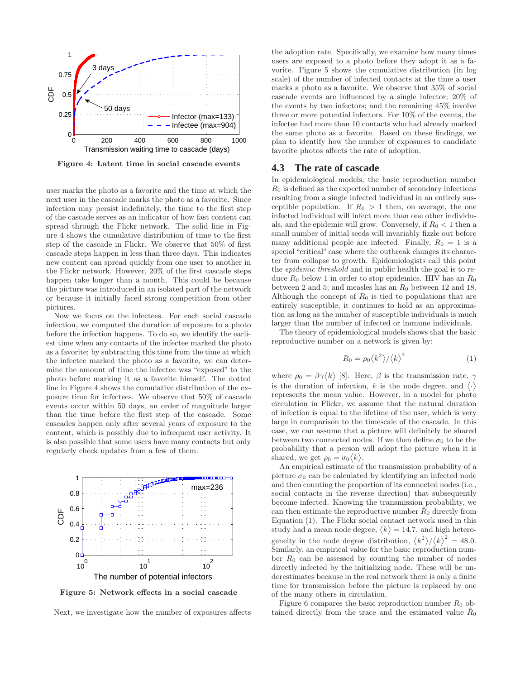

Figure 4: Latent time in social cascade events

user marks the photo as a favorite and the time at which the next user in the cascade marks the photo as a favorite. Since infection may persist indefinitely, the time to the first step of the cascade serves as an indicator of how fast content can spread through the Flickr network. The solid line in Figure 4 shows the cumulative distribution of time to the first step of the cascade in Flickr. We observe that 50% of first cascade steps happen in less than three days. This indicates new content can spread quickly from one user to another in the Flickr network. However, 20% of the first cascade steps happen take longer than a month. This could be because the picture was introduced in an isolated part of the network or because it initially faced strong competition from other pictures.

Now we focus on the infectees. For each social cascade infection, we computed the duration of exposure to a photo before the infection happens. To do so, we identify the earliest time when any contacts of the infectee marked the photo as a favorite; by subtracting this time from the time at which the infectee marked the photo as a favorite, we can determine the amount of time the infectee was "exposed" to the photo before marking it as a favorite himself. The dotted line in Figure 4 shows the cumulative distribution of the exposure time for infectees. We observe that 50% of cascade events occur within 50 days, an order of magnitude larger than the time before the first step of the cascade. Some cascades happen only after several years of exposure to the content, which is possibly due to infrequent user activity. It is also possible that some users have many contacts but only regularly check updates from a few of them.



Figure 5: Network effects in a social cascade

Next, we investigate how the number of exposures affects

the adoption rate. Specifically, we examine how many times users are exposed to a photo before they adopt it as a favorite. Figure 5 shows the cumulative distribution (in log scale) of the number of infected contacts at the time a user marks a photo as a favorite. We observe that 35% of social cascade events are influenced by a single infector; 20% of the events by two infectors; and the remaining 45% involve three or more potential infectors. For 10% of the events, the infectee had more than 10 contacts who had already marked the same photo as a favorite. Based on these findings, we plan to identify how the number of exposures to candidate favorite photos affects the rate of adoption.

#### **4.3 The rate of cascade**

In epidemiological models, the basic reproduction number  $R_0$  is defined as the expected number of secondary infections resulting from a single infected individual in an entirely susceptible population. If  $R_0 > 1$  then, on average, the one infected individual will infect more than one other individuals, and the epidemic will grow. Conversely, if  $R_0 < 1$  then a small number of initial seeds will invariably fizzle out before many additional people are infected. Finally,  $R_0 = 1$  is a special "critical" case where the outbreak changes its character from collapse to growth. Epidemiologists call this point the epidemic threshold and in public health the goal is to reduce  $R_0$  below 1 in order to stop epidemics. HIV has an  $R_0$ between 2 and 5; and measles has an  $R_0$  between 12 and 18. Although the concept of  $R_0$  is tied to populations that are entirely susceptible, it continues to hold as an approximation as long as the number of susceptible individuals is much larger than the number of infected or immune individuals.

The theory of epidemiological models shows that the basic reproductive number on a network is given by:

$$
R_0 = \rho_0 \langle k^2 \rangle / \langle k \rangle^2 \tag{1}
$$

where  $\rho_0 = \beta \gamma \langle k \rangle$  [8]. Here,  $\beta$  is the transmission rate,  $\gamma$ is the duration of infection, k is the node degree, and  $\langle \cdot \rangle$ represents the mean value. However, in a model for photo circulation in Flickr, we assume that the natural duration of infection is equal to the lifetime of the user, which is very large in comparison to the timescale of the cascade. In this case, we can assume that a picture will definitely be shared between two connected nodes. If we then define  $\sigma_0$  to be the probability that a person will adopt the picture when it is shared, we get  $\rho_0 = \sigma_0 \langle k \rangle$ .

An empirical estimate of the transmission probability of a picture  $\sigma_0$  can be calculated by identifying an infected node and then counting the proportion of its connected nodes (i.e., social contacts in the reverse direction) that subsequently become infected. Knowing the transmission probability, we can then estimate the reproductive number  $\hat{R}_0$  directly from Equation (1). The Flickr social contact network used in this study had a mean node degree,  $\langle k \rangle = 14.7$ , and high heterogeneity in the node degree distribution,  $\langle k^2 \rangle / \langle k \rangle^2 = 48.0$ . Similarly, an empirical value for the basic reproduction number  $R_0$  can be assessed by counting the number of nodes directly infected by the initializing node. These will be underestimates because in the real network there is only a finite time for transmission before the picture is replaced by one of the many others in circulation.

Figure 6 compares the basic reproduction number  $R_0$  obtained directly from the trace and the estimated value  $\hat{R}_0$